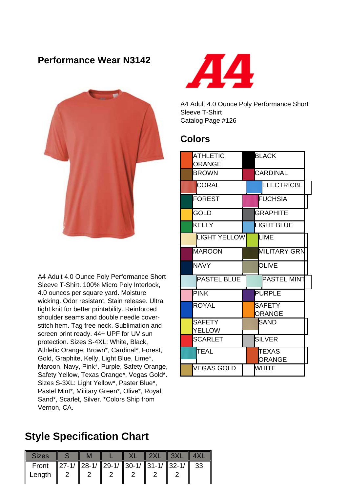## **Performance Wear N3142**



A4 Adult 4.0 Ounce Poly Performance Short Sleeve T-Shirt. 100% Micro Poly Interlock, 4.0 ounces per square yard. Moisture wicking. Odor resistant. Stain release. Ultra tight knit for better printability. Reinforced shoulder seams and double needle coverstitch hem. Tag free neck. Sublimation and screen print ready. 44+ UPF for UV sun protection. Sizes S-4XL: White, Black, Athletic Orange, Brown\*, Cardinal\*, Forest, Gold, Graphite, Kelly, Light Blue, Lime\*, Maroon, Navy, Pink\*, Purple, Safety Orange, Safety Yellow, Texas Orange\*, Vegas Gold\*. Sizes S-3XL: Light Yellow\*, Paster Blue\*, Pastel Mint\*, Military Green\*, Olive\*, Royal, Sand\*, Scarlet, Silver. \*Colors Ship from Vernon, CA.



A4 Adult 4.0 Ounce Poly Performance Short Sleeve T-Shirt Catalog Page #126

## **Colors**

| ATHLETIC<br>ORANGE      | <b>BLACK</b>            |  |  |  |  |
|-------------------------|-------------------------|--|--|--|--|
| <b>BROWN</b>            | <b>CARDINAL</b>         |  |  |  |  |
| <b>CORAL</b>            | <b>ELECTRICBL</b>       |  |  |  |  |
| <b>FOREST</b>           | <b>FUCHSIA</b>          |  |  |  |  |
| GOLD                    | <b>GRAPHITE</b>         |  |  |  |  |
| KELLY                   | <b>LIGHT BLUE</b>       |  |  |  |  |
| <b>LIGHT YELLOW</b>     | LIME                    |  |  |  |  |
| <b>MAROON</b>           | <b>MILITARY GRN</b>     |  |  |  |  |
| NAVY                    | <b>OLIVE</b>            |  |  |  |  |
| <b>PASTEL BLUE</b>      | <b>PASTEL MINT</b>      |  |  |  |  |
| PINK                    | <b>PURPLE</b>           |  |  |  |  |
| <b>ROYAL</b>            | <b>SAFETY</b><br>ORANGE |  |  |  |  |
| <b>SAFETY</b><br>YELLOW | SAND                    |  |  |  |  |
| <b>SCARLET</b>          | <b>SILVER</b>           |  |  |  |  |
| TEAL                    | TEXAS<br><b>ORANGE</b>  |  |  |  |  |
| <b>NEGAS GOLD</b>       | <b>WHITE</b>            |  |  |  |  |

## **Style Specification Chart**

| <b>Sizes</b> |                                                  |  | <b>2XL</b> | $\parallel 3Xl$ |  |
|--------------|--------------------------------------------------|--|------------|-----------------|--|
| Front        | $\ 27-1/\ 28-1/\ 29-1/\ 30-1/\ 31-1/\ 32-1/\ 33$ |  |            |                 |  |
| Length       |                                                  |  |            |                 |  |